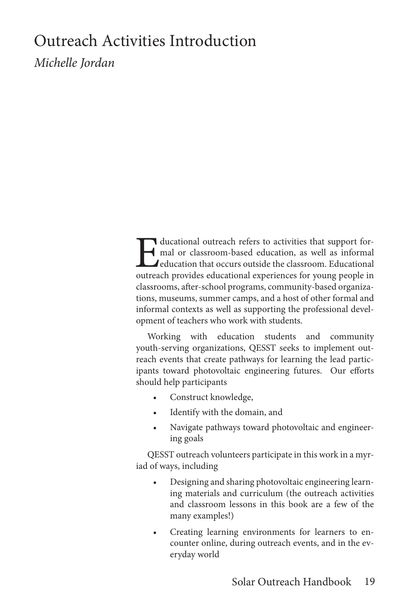# Outreach Activities Introduction

*Michelle Jordan*

Educational outreach refers to activities that support formal or classroom-based education, as well as informal education that occurs outside the classroom. Educational outreach provides educational experiences for young people in classrooms, after-school programs, community-based organizations, museums, summer camps, and a host of other formal and informal contexts as well as supporting the professional development of teachers who work with students.

Working with education students and community youth-serving organizations, QESST seeks to implement outreach events that create pathways for learning the lead participants toward photovoltaic engineering futures. Our efforts should help participants

- Construct knowledge,
- Identify with the domain, and
- Navigate pathways toward photovoltaic and engineering goals

QESST outreach volunteers participate in this work in a myriad of ways, including

- Designing and sharing photovoltaic engineering learning materials and curriculum (the outreach activities and classroom lessons in this book are a few of the many examples!)
- Creating learning environments for learners to encounter online, during outreach events, and in the everyday world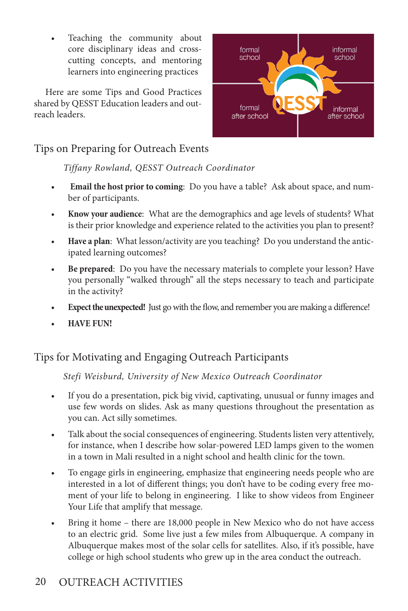Teaching the community about core disciplinary ideas and crosscutting concepts, and mentoring learners into engineering practices

Here are some Tips and Good Practices shared by QESST Education leaders and outreach leaders.



### Tips on Preparing for Outreach Events

*Tiffany Rowland, QESST Outreach Coordinator*

- **Email the host prior to coming**: Do you have a table? Ask about space, and number of participants.
- **• Know your audience**: What are the demographics and age levels of students? What is their prior knowledge and experience related to the activities you plan to present?
- **• Have a plan**: What lesson/activity are you teaching? Do you understand the anticipated learning outcomes?
- **• Be prepared**: Do you have the necessary materials to complete your lesson? Have you personally "walked through" all the steps necessary to teach and participate in the activity?
- **Expect the unexpected!** Just go with the flow, and remember you are making a difference!
- **• HAVE FUN!**

# Tips for Motivating and Engaging Outreach Participants

*Stefi Weisburd, University of New Mexico Outreach Coordinator*

- If you do a presentation, pick big vivid, captivating, unusual or funny images and use few words on slides. Ask as many questions throughout the presentation as you can. Act silly sometimes.
- Talk about the social consequences of engineering. Students listen very attentively, for instance, when I describe how solar-powered LED lamps given to the women in a town in Mali resulted in a night school and health clinic for the town.
- To engage girls in engineering, emphasize that engineering needs people who are interested in a lot of different things; you don't have to be coding every free moment of your life to belong in engineering. I like to show videos from Engineer Your Life that amplify that message.
- Bring it home there are 18,000 people in New Mexico who do not have access to an electric grid. Some live just a few miles from Albuquerque. A company in Albuquerque makes most of the solar cells for satellites. Also, if it's possible, have college or high school students who grew up in the area conduct the outreach.

# 20 OUTREACH ACTIVITIES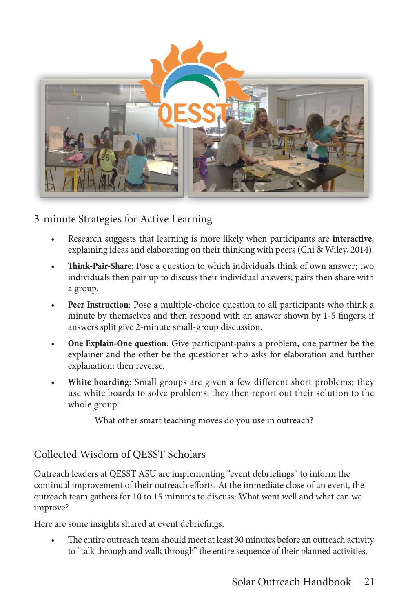

#### 3-minute Strategies for Active Learning

- Research suggests that learning is more likely when participants are **interactive**, explaining ideas and elaborating on their thinking with peers (Chi & Wiley, 2014).
- **• Think-Pair-Share**: Pose a question to which individuals think of own answer; two individuals then pair up to discuss their individual answers; pairs then share with a group.
- **• Peer Instruction**: Pose a multiple-choice question to all participants who think a minute by themselves and then respond with an answer shown by 1-5 fingers; if answers split give 2-minute small-group discussion.
- **• One Explain-One question**: Give participant-pairs a problem; one partner be the explainer and the other be the questioner who asks for elaboration and further explanation; then reverse.
- **• White boarding**: Small groups are given a few different short problems; they use white boards to solve problems; they then report out their solution to the whole group.

What other smart teaching moves do you use in outreach?

#### Collected Wisdom of QESST Scholars

Outreach leaders at QESST ASU are implementing "event debriefings" to inform the continual improvement of their outreach efforts. At the immediate close of an event, the outreach team gathers for 10 to 15 minutes to discuss: What went well and what can we improve?

Here are some insights shared at event debriefings.

The entire outreach team should meet at least 30 minutes before an outreach activity to "talk through and walk through" the entire sequence of their planned activities.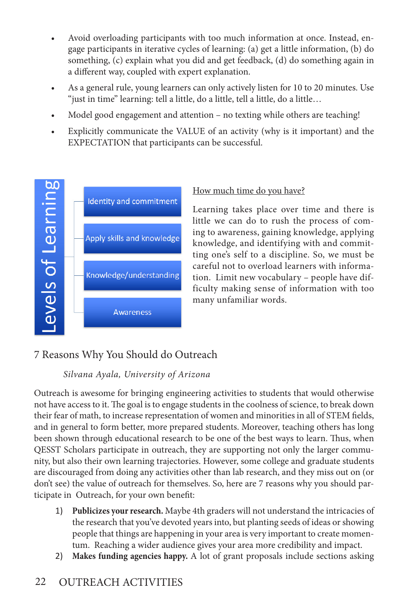- Avoid overloading participants with too much information at once. Instead, engage participants in iterative cycles of learning: (a) get a little information, (b) do something, (c) explain what you did and get feedback, (d) do something again in a different way, coupled with expert explanation.
- As a general rule, young learners can only actively listen for 10 to 20 minutes. Use "just in time" learning: tell a little, do a little, tell a little, do a little…
- Model good engagement and attention no texting while others are teaching!
- Explicitly communicate the VALUE of an activity (why is it important) and the EXPECTATION that participants can be successful.



#### How much time do you have?

Learning takes place over time and there is little we can do to rush the process of coming to awareness, gaining knowledge, applying knowledge, and identifying with and committing one's self to a discipline. So, we must be careful not to overload learners with information. Limit new vocabulary – people have difficulty making sense of information with too many unfamiliar words.

# 7 Reasons Why You Should do Outreach

#### *Silvana Ayala, University of Arizona*

Outreach is awesome for bringing engineering activities to students that would otherwise not have access to it. The goal is to engage students in the coolness of science, to break down their fear of math, to increase representation of women and minorities in all of STEM fields, and in general to form better, more prepared students. Moreover, teaching others has long been shown through educational research to be one of the best ways to learn. Thus, when QESST Scholars participate in outreach, they are supporting not only the larger community, but also their own learning trajectories. However, some college and graduate students are discouraged from doing any activities other than lab research, and they miss out on (or don't see) the value of outreach for themselves. So, here are 7 reasons why you should participate in Outreach, for your own benefit:

- 1) **Publicizes your research.** Maybe 4th graders will not understand the intricacies of the research that you've devoted years into, but planting seeds of ideas or showing people that things are happening in your area is very important to create momentum. Reaching a wider audience gives your area more credibility and impact.
- 2) **Makes funding agencies happy.** A lot of grant proposals include sections asking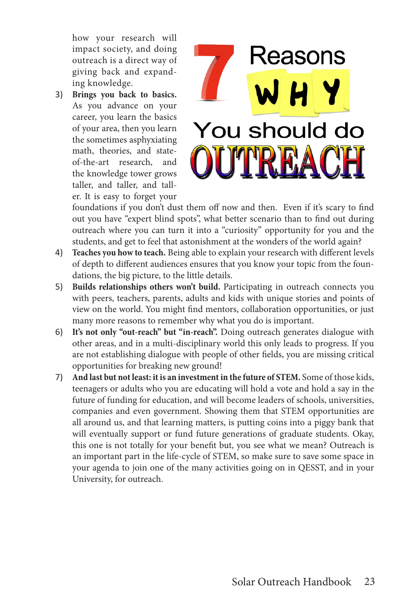how your research will impact society, and doing outreach is a direct way of giving back and expanding knowledge.

3) **Brings you back to basics.**  As you advance on your career, you learn the basics of your area, then you learn the sometimes asphyxiating math, theories, and stateof-the-art research, and the knowledge tower grows taller, and taller, and taller. It is easy to forget your



foundations if you don't dust them off now and then. Even if it's scary to find out you have "expert blind spots", what better scenario than to find out during outreach where you can turn it into a "curiosity" opportunity for you and the students, and get to feel that astonishment at the wonders of the world again?

- 4) **Teaches you how to teach.** Being able to explain your research with different levels of depth to different audiences ensures that you know your topic from the foundations, the big picture, to the little details.
- 5) **Builds relationships others won't build.** Participating in outreach connects you with peers, teachers, parents, adults and kids with unique stories and points of view on the world. You might find mentors, collaboration opportunities, or just many more reasons to remember why what you do is important.
- 6) **It's not only "out-reach" but "in-reach".** Doing outreach generates dialogue with other areas, and in a multi-disciplinary world this only leads to progress. If you are not establishing dialogue with people of other fields, you are missing critical opportunities for breaking new ground!
- 7) **And last but not least: it is an investment in the future of STEM.** Some of those kids, teenagers or adults who you are educating will hold a vote and hold a say in the future of funding for education, and will become leaders of schools, universities, companies and even government. Showing them that STEM opportunities are all around us, and that learning matters, is putting coins into a piggy bank that will eventually support or fund future generations of graduate students. Okay, this one is not totally for your benefit but, you see what we mean? Outreach is an important part in the life-cycle of STEM, so make sure to save some space in your agenda to join one of the many activities going on in QESST, and in your University, for outreach.